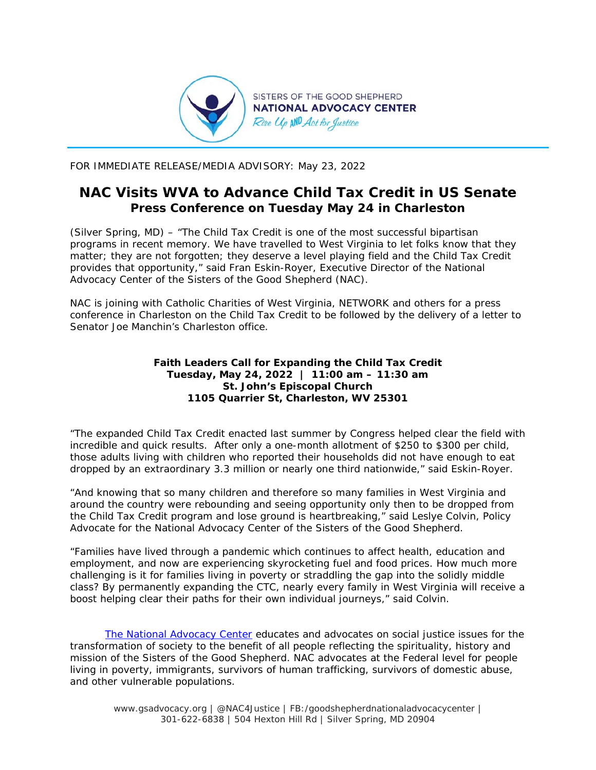

FOR IMMEDIATE RELEASE/MEDIA ADVISORY: May 23, 2022

## **NAC Visits WVA to Advance Child Tax Credit in US Senate Press Conference on Tuesday May 24 in Charleston**

(Silver Spring, MD) – "The Child Tax Credit is one of the most successful bipartisan programs in recent memory. We have travelled to West Virginia to let folks know that they matter; they are not forgotten; they deserve a level playing field and the Child Tax Credit provides that opportunity," said Fran Eskin-Royer, Executive Director of the National Advocacy Center of the Sisters of the Good Shepherd (NAC).

NAC is joining with Catholic Charities of West Virginia, NETWORK and others for a press conference in Charleston on the Child Tax Credit to be followed by the delivery of a letter to Senator Joe Manchin's Charleston office.

## **Faith Leaders Call for Expanding the Child Tax Credit Tuesday, May 24, 2022 | 11:00 am – 11:30 am St. John's Episcopal Church 1105 Quarrier St, Charleston, WV 25301**

"The expanded Child Tax Credit enacted last summer by Congress helped clear the field with incredible and quick results. After only a one-month allotment of \$250 to \$300 per child, those adults living with children who reported their households did not have enough to eat dropped by an extraordinary 3.3 million or nearly one third nationwide," said Eskin-Royer.

"And knowing that so many children and therefore so many families in West Virginia and around the country were rebounding and seeing opportunity only then to be dropped from the Child Tax Credit program and lose ground is heartbreaking," said Leslye Colvin, Policy Advocate for the National Advocacy Center of the Sisters of the Good Shepherd.

"Families have lived through a pandemic which continues to affect health, education and employment, and now are experiencing skyrocketing fuel and food prices. How much more challenging is it for families living in poverty or straddling the gap into the solidly middle class? By permanently expanding the CTC, nearly every family in West Virginia will receive a boost helping clear their paths for their own individual journeys," said Colvin.

*The National Advocacy Center educates and advocates on social justice issues for the transformation of society to the benefit of all people reflecting the spirituality, history and mission of the Sisters of the Good Shepherd. NAC advocates at the Federal level for people living in poverty, immigrants, survivors of human trafficking, survivors of domestic abuse, and other vulnerable populations.*